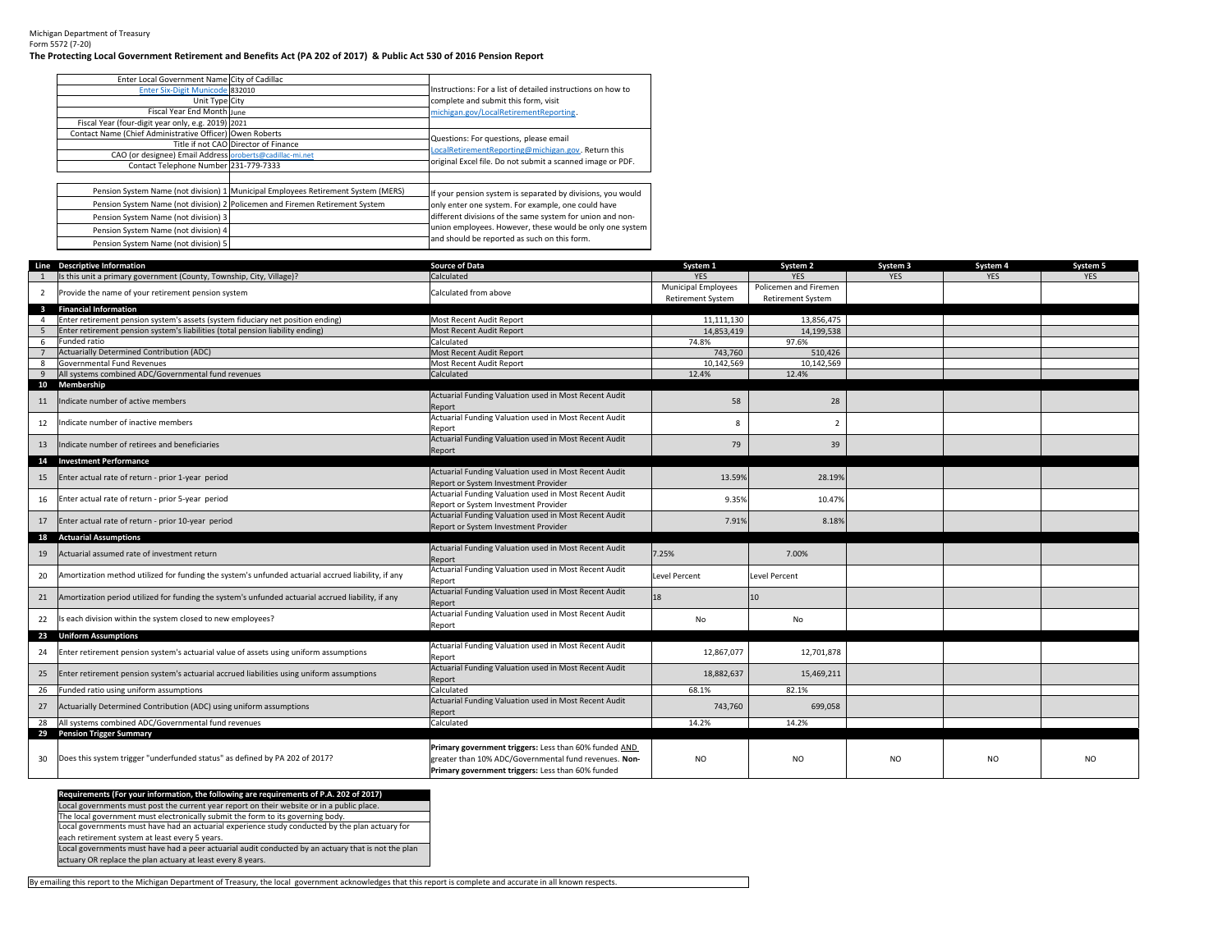Michigan Department of Treasury Form 5572 (7‐20)

## The Protecting Local Government Retirement and Benefits Act (PA 202 of 2017) & Public Act 530 of 2016 Pension Report

| Enter Local Government Name City of Cadillac             |                                                                                   |                                                             |
|----------------------------------------------------------|-----------------------------------------------------------------------------------|-------------------------------------------------------------|
| Enter Six-Digit Municode 832010                          |                                                                                   | Instructions: For a list of detailed instructions on how to |
| Unit Type City                                           |                                                                                   | complete and submit this form, visit                        |
| Fiscal Year End Month June                               |                                                                                   | michigan.gov/LocalRetirementReporting.                      |
| Fiscal Year (four-digit year only, e.g. 2019) 2021       |                                                                                   |                                                             |
| Contact Name (Chief Administrative Officer) Owen Roberts |                                                                                   | Questions: For questions, please email                      |
|                                                          | Title if not CAO Director of Finance                                              | LocalRetirementReporting@michigan.gov. Return this          |
| CAO (or designee) Email Address oroberts@cadillac-mi.net |                                                                                   |                                                             |
| Contact Telephone Number 231-779-7333                    |                                                                                   | original Excel file. Do not submit a scanned image or PDF.  |
|                                                          |                                                                                   |                                                             |
|                                                          | Pension System Name (not division) 1 Municipal Employees Retirement System (MERS) | If your pension system is separated by divisions, you would |
|                                                          | Pension System Name (not division) 2 Policemen and Firemen Retirement System      | only enter one system. For example, one could have          |
| Pension System Name (not division) 3                     |                                                                                   | different divisions of the same system for union and non-   |
| Pension System Name (not division) 4                     |                                                                                   | union employees. However, these would be only one system    |
| Pension System Name (not division) 5                     |                                                                                   | and should be reported as such on this form.                |

|                         | Line Descriptive Information                                                                       | <b>Source of Data</b>                                                                         | System 1                   | System 2                 | System 3       | System 4       | System 5   |
|-------------------------|----------------------------------------------------------------------------------------------------|-----------------------------------------------------------------------------------------------|----------------------------|--------------------------|----------------|----------------|------------|
|                         | Is this unit a primary government (County, Township, City, Village)?                               | Calculated                                                                                    | <b>YES</b>                 | <b>YES</b>               | <b>YES</b>     | <b>YES</b>     | <b>YES</b> |
| $\overline{2}$          | Provide the name of your retirement pension system                                                 | Calculated from above                                                                         | <b>Municipal Employees</b> | Policemen and Firemen    |                |                |            |
|                         |                                                                                                    |                                                                                               | <b>Retirement System</b>   | <b>Retirement System</b> |                |                |            |
| $\overline{\mathbf{3}}$ | <b>Financial Information</b>                                                                       |                                                                                               |                            |                          |                |                |            |
|                         | Enter retirement pension system's assets (system fiduciary net position ending)                    | Most Recent Audit Report                                                                      | 11.111.130                 | 13.856.475               |                |                |            |
|                         | Enter retirement pension system's liabilities (total pension liability ending)                     | Most Recent Audit Report                                                                      | 14,853,419                 | 14,199,538               |                |                |            |
| -6                      | Funded ratio                                                                                       | Calculated                                                                                    | 74.8%                      | 97.6%                    |                |                |            |
|                         | Actuarially Determined Contribution (ADC)                                                          | Most Recent Audit Report                                                                      | 743,760                    | 510,426                  |                |                |            |
| 8                       | Governmental Fund Revenues                                                                         | Most Recent Audit Report                                                                      | 10,142,569                 | 10,142,569               |                |                |            |
| 9                       | All systems combined ADC/Governmental fund revenues                                                | Calculated                                                                                    | 12.4%                      | 12.4%                    |                |                |            |
|                         | 10 Membership                                                                                      |                                                                                               |                            |                          |                |                |            |
| 11                      | Indicate number of active members                                                                  | Actuarial Funding Valuation used in Most Recent Audit<br>Report                               | 58                         | 28                       |                |                |            |
| 12                      | Indicate number of inactive members                                                                | Actuarial Funding Valuation used in Most Recent Audit                                         | $\mathbf{R}$               | $\overline{2}$           |                |                |            |
|                         |                                                                                                    | Report                                                                                        |                            |                          |                |                |            |
| 13                      | Indicate number of retirees and beneficiaries                                                      | Actuarial Funding Valuation used in Most Recent Audit                                         | 79                         | 39                       |                |                |            |
|                         |                                                                                                    | Report                                                                                        |                            |                          |                |                |            |
| 14                      | <b>Investment Performance</b>                                                                      | Actuarial Funding Valuation used in Most Recent Audit                                         |                            |                          |                |                |            |
| 15                      | Enter actual rate of return - prior 1-year period                                                  |                                                                                               | 13.59%                     | 28.19%                   |                |                |            |
|                         |                                                                                                    | Report or System Investment Provider<br>Actuarial Funding Valuation used in Most Recent Audit |                            |                          |                |                |            |
| 16                      | Enter actual rate of return - prior 5-year period                                                  | Report or System Investment Provider                                                          | 9.35%                      | 10.47%                   |                |                |            |
|                         |                                                                                                    | Actuarial Funding Valuation used in Most Recent Audit                                         |                            |                          |                |                |            |
| 17                      | Enter actual rate of return - prior 10-year period                                                 | Report or System Investment Provider                                                          | 7.91%                      | 8.18%                    |                |                |            |
| 18                      | <b>Actuarial Assumptions</b>                                                                       |                                                                                               |                            |                          |                |                |            |
|                         |                                                                                                    | Actuarial Funding Valuation used in Most Recent Audit                                         |                            |                          |                |                |            |
| 19                      | Actuarial assumed rate of investment return                                                        | Report                                                                                        | 7.25%                      | 7.00%                    |                |                |            |
|                         |                                                                                                    | Actuarial Funding Valuation used in Most Recent Audit                                         |                            |                          |                |                |            |
| 20                      | Amortization method utilized for funding the system's unfunded actuarial accrued liability, if any | Report                                                                                        | Level Percent              | <b>Level Percent</b>     |                |                |            |
|                         |                                                                                                    | Actuarial Funding Valuation used in Most Recent Audit                                         |                            |                          |                |                |            |
| 21                      | Amortization period utilized for funding the system's unfunded actuarial accrued liability, if any | Report                                                                                        | 18                         | 10                       |                |                |            |
|                         |                                                                                                    | Actuarial Funding Valuation used in Most Recent Audit                                         |                            |                          |                |                |            |
| 22                      | Is each division within the system closed to new employees?                                        | Report                                                                                        | No                         | No                       |                |                |            |
|                         | 23 Uniform Assumptions                                                                             |                                                                                               |                            |                          |                |                |            |
|                         |                                                                                                    | Actuarial Funding Valuation used in Most Recent Audit                                         | 12,867,077                 | 12,701,878               |                |                |            |
| 24                      | Enter retirement pension system's actuarial value of assets using uniform assumptions              | Report                                                                                        |                            |                          |                |                |            |
| 25                      | Enter retirement pension system's actuarial accrued liabilities using uniform assumptions          | Actuarial Funding Valuation used in Most Recent Audit                                         | 18,882,637                 | 15,469,211               |                |                |            |
|                         |                                                                                                    | Report                                                                                        |                            |                          |                |                |            |
| 26                      | Funded ratio using uniform assumptions                                                             | Calculated                                                                                    | 68.1%                      | 82.1%                    |                |                |            |
| 27                      | Actuarially Determined Contribution (ADC) using uniform assumptions                                | Actuarial Funding Valuation used in Most Recent Audit                                         | 743,760                    | 699,058                  |                |                |            |
|                         |                                                                                                    | Report                                                                                        |                            |                          |                |                |            |
| 28                      | All systems combined ADC/Governmental fund revenues                                                | Calculated                                                                                    | 14.2%                      | 14.2%                    |                |                |            |
|                         | 29 Pension Trigger Summary                                                                         |                                                                                               |                            |                          |                |                |            |
|                         |                                                                                                    | Primary government triggers: Less than 60% funded AND                                         |                            |                          |                |                |            |
| 30                      | Does this system trigger "underfunded status" as defined by PA 202 of 2017?                        | greater than 10% ADC/Governmental fund revenues. Non-                                         | <b>NO</b>                  | N <sub>O</sub>           | N <sub>O</sub> | N <sub>O</sub> | <b>NO</b>  |
|                         |                                                                                                    | Primary government triggers: Less than 60% funded                                             |                            |                          |                |                |            |

Requirements (For your information, the following are requirements of P.A. 202 of 2017)<br>Local governments must post the current year report on their website or in a public place. The local government must electronically submit the form to its governing body.

Local governments must have had an actuarial experience study conducted by the plan actuary for

each retirement system at least every 5 years.

Local governments must have had <sup>a</sup> peer actuarial audit conducted by an actuary that is not the plan

actuary OR replace the plan actuary at least every 8 years.

By emailing this report to the Michigan Department of Treasury, the local government acknowledges that this report is complete and accurate in all known respects.